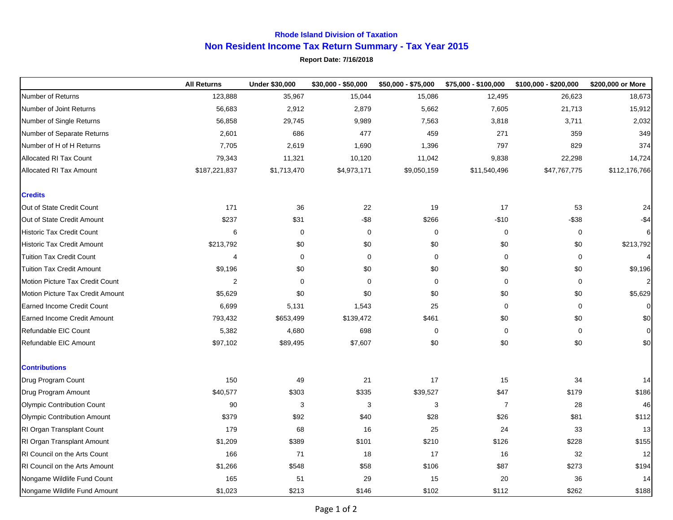## **Rhode Island Division of Taxation Non Resident Income Tax Return Summary - Tax Year 2015**

## **Report Date: 7/16/2018**

|                                      | <b>All Returns</b> | <b>Under \$30,000</b> | \$30,000 - \$50,000 | \$50,000 - \$75,000 | \$75,000 - \$100,000 | $$100,000 - $200,000$ | \$200,000 or More |
|--------------------------------------|--------------------|-----------------------|---------------------|---------------------|----------------------|-----------------------|-------------------|
| Number of Returns                    | 123,888            | 35,967                | 15,044              | 15,086              | 12,495               | 26,623                | 18,673            |
| Number of Joint Returns              | 56,683             | 2,912                 | 2,879               | 5,662               | 7,605                | 21,713                | 15,912            |
| Number of Single Returns             | 56,858             | 29,745                | 9,989               | 7,563               | 3,818                | 3,711                 | 2,032             |
| Number of Separate Returns           | 2,601              | 686                   | 477                 | 459                 | 271                  | 359                   | 349               |
| Number of H of H Returns             | 7,705              | 2,619                 | 1,690               | 1,396               | 797                  | 829                   | 374               |
| Allocated RI Tax Count               | 79,343             | 11,321                | 10,120              | 11,042              | 9,838                | 22,298                | 14,724            |
| Allocated RI Tax Amount              | \$187,221,837      | \$1,713,470           | \$4,973,171         | \$9,050,159         | \$11,540,496         | \$47,767,775          | \$112,176,766     |
| <b>Credits</b>                       |                    |                       |                     |                     |                      |                       |                   |
| Out of State Credit Count            | 171                | 36                    | 22                  | 19                  | 17                   | 53                    | 24                |
| Out of State Credit Amount           | \$237              | \$31                  | $-$ \$8             | \$266               | $-$10$               | $-$ \$38              | $-$ \$4           |
| <b>Historic Tax Credit Count</b>     | 6                  | $\mathbf 0$           | 0                   | 0                   | $\mathbf 0$          | 0                     | 6                 |
| <b>Historic Tax Credit Amount</b>    | \$213,792          | \$0                   | \$0                 | \$0                 | \$0                  | \$0                   | \$213,792         |
| <b>Tuition Tax Credit Count</b>      | 4                  | $\mathbf 0$           | $\mathbf 0$         | $\pmb{0}$           | $\mathbf 0$          | 0                     | $\overline{4}$    |
| <b>Tuition Tax Credit Amount</b>     | \$9,196            | \$0                   | \$0                 | \$0                 | \$0                  | \$0                   | \$9,196           |
| Motion Picture Tax Credit Count      | 2                  | $\mathbf 0$           | 0                   | $\mathbf 0$         | $\mathbf 0$          | 0                     | $\mathbf{2}$      |
| Motion Picture Tax Credit Amount     | \$5,629            | \$0                   | \$0                 | \$0                 | \$0                  | \$0                   | \$5,629           |
| <b>Earned Income Credit Count</b>    | 6,699              | 5,131                 | 1,543               | 25                  | 0                    | $\mathbf 0$           | $\overline{0}$    |
| <b>Earned Income Credit Amount</b>   | 793,432            | \$653,499             | \$139,472           | \$461               | \$0                  | \$0                   | \$0               |
| Refundable EIC Count                 | 5,382              | 4,680                 | 698                 | 0                   | 0                    | 0                     | $\overline{0}$    |
| Refundable EIC Amount                | \$97,102           | \$89,495              | \$7,607             | \$0                 | \$0                  | \$0                   | \$0               |
| <b>Contributions</b>                 |                    |                       |                     |                     |                      |                       |                   |
| Drug Program Count                   | 150                | 49                    | 21                  | 17                  | 15                   | 34                    | 14                |
| Drug Program Amount                  | \$40,577           | \$303                 | \$335               | \$39,527            | \$47                 | \$179                 | \$186             |
| Olympic Contribution Count           | 90                 | 3                     | 3                   | 3                   | $\overline{7}$       | 28                    | 46                |
| Olympic Contribution Amount          | \$379              | \$92                  | \$40                | \$28                | \$26                 | \$81                  | \$112             |
| RI Organ Transplant Count            | 179                | 68                    | 16                  | 25                  | 24                   | 33                    | 13                |
| RI Organ Transplant Amount           | \$1,209            | \$389                 | \$101               | \$210               | \$126                | \$228                 | \$155             |
| RI Council on the Arts Count         | 166                | 71                    | 18                  | 17                  | 16                   | 32                    | 12                |
| <b>RI Council on the Arts Amount</b> | \$1,266            | \$548                 | \$58                | \$106               | \$87                 | \$273                 | \$194             |
| Nongame Wildlife Fund Count          | 165                | 51                    | 29                  | 15                  | 20                   | 36                    | 14                |
| Nongame Wildlife Fund Amount         | \$1,023            | \$213                 | \$146               | \$102               | \$112                | \$262                 | \$188             |